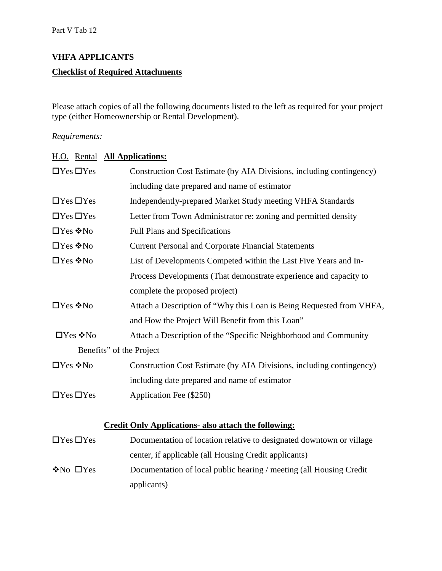# **VHFA APPLICANTS Checklist of Required Attachments**

Please attach copies of all the following documents listed to the left as required for your project type (either Homeownership or Rental Development).

#### *Requirements:*

| H.O. Rental <b>All Applications:</b> |                                                                      |
|--------------------------------------|----------------------------------------------------------------------|
| $\Box$ Yes $\Box$ Yes                | Construction Cost Estimate (by AIA Divisions, including contingency) |
|                                      | including date prepared and name of estimator                        |
| $\Box$ Yes $\Box$ Yes                | Independently-prepared Market Study meeting VHFA Standards           |
| $\Box$ Yes $\Box$ Yes                | Letter from Town Administrator re: zoning and permitted density      |
| $\square$ Yes ❖ No                   | <b>Full Plans and Specifications</b>                                 |
| $\square$ Yes ❖No                    | <b>Current Personal and Corporate Financial Statements</b>           |
| □Yes ❖No                             | List of Developments Competed within the Last Five Years and In-     |
|                                      | Process Developments (That demonstrate experience and capacity to    |
|                                      | complete the proposed project)                                       |
| $\Box$ Yes ❖ No                      | Attach a Description of "Why this Loan is Being Requested from VHFA, |
|                                      | and How the Project Will Benefit from this Loan"                     |
| $\Box$ Yes $\div$ No                 | Attach a Description of the "Specific Neighborhood and Community     |
|                                      | Benefits" of the Project                                             |
| □Yes ❖No                             | Construction Cost Estimate (by AIA Divisions, including contingency) |
|                                      | including date prepared and name of estimator                        |
| $\Box$ Yes $\Box$ Yes                | Application Fee (\$250)                                              |
|                                      |                                                                      |
|                                      | <b>Credit Only Applications- also attach the following:</b>          |
| $\Box$ Yes $\Box$ Yes                | Documentation of location relative to designated downtown or village |
|                                      | center, if applicable (all Housing Credit applicants)                |
| $\cdot$ No $\Box$ Yes                | Documentation of local public hearing / meeting (all Housing Credit  |
|                                      | applicants)                                                          |